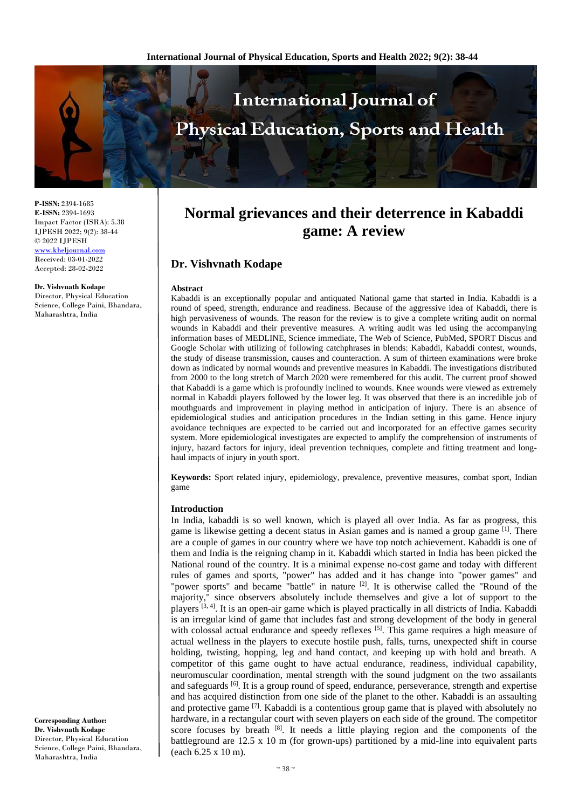

**P-ISSN:** 2394-1685 **E-ISSN:** 2394-1693 Impact Factor (ISRA): 5.38 IJPESH 2022; 9(2): 38-44 © 2022 IJPESH [www.kheljournal.com](http://www.kheljournal.com/) Received: 03-01-2022

Accepted: 28-02-2022

#### **Dr. Vishvnath Kodape**

Director, Physical Education Science, College Paini, Bhandara, Maharashtra, India

**Normal grievances and their deterrence in Kabaddi game: A review**

# **Dr. Vishvnath Kodape**

#### **Abstract**

Kabaddi is an exceptionally popular and antiquated National game that started in India. Kabaddi is a round of speed, strength, endurance and readiness. Because of the aggressive idea of Kabaddi, there is high pervasiveness of wounds. The reason for the review is to give a complete writing audit on normal wounds in Kabaddi and their preventive measures. A writing audit was led using the accompanying information bases of MEDLINE, Science immediate, The Web of Science, PubMed, SPORT Discus and Google Scholar with utilizing of following catchphrases in blends: Kabaddi, Kabaddi contest, wounds, the study of disease transmission, causes and counteraction. A sum of thirteen examinations were broke down as indicated by normal wounds and preventive measures in Kabaddi. The investigations distributed from 2000 to the long stretch of March 2020 were remembered for this audit. The current proof showed that Kabaddi is a game which is profoundly inclined to wounds. Knee wounds were viewed as extremely normal in Kabaddi players followed by the lower leg. It was observed that there is an incredible job of mouthguards and improvement in playing method in anticipation of injury. There is an absence of epidemiological studies and anticipation procedures in the Indian setting in this game. Hence injury avoidance techniques are expected to be carried out and incorporated for an effective games security system. More epidemiological investigates are expected to amplify the comprehension of instruments of injury, hazard factors for injury, ideal prevention techniques, complete and fitting treatment and longhaul impacts of injury in youth sport.

**Keywords:** Sport related injury, epidemiology, prevalence, preventive measures, combat sport, Indian game

### **Introduction**

In India, kabaddi is so well known, which is played all over India. As far as progress, this game is likewise getting a decent status in Asian games and is named a group game [1]. There are a couple of games in our country where we have top notch achievement. Kabaddi is one of them and India is the reigning champ in it. Kabaddi which started in India has been picked the National round of the country. It is a minimal expense no-cost game and today with different rules of games and sports, "power" has added and it has change into "power games" and "power sports" and became "battle" in nature <sup>[2]</sup>. It is otherwise called the "Round of the majority," since observers absolutely include themselves and give a lot of support to the players [3, 4]. It is an open-air game which is played practically in all districts of India. Kabaddi is an irregular kind of game that includes fast and strong development of the body in general with colossal actual endurance and speedy reflexes <sup>[5]</sup>. This game requires a high measure of actual wellness in the players to execute hostile push, falls, turns, unexpected shift in course holding, twisting, hopping, leg and hand contact, and keeping up with hold and breath. A competitor of this game ought to have actual endurance, readiness, individual capability, neuromuscular coordination, mental strength with the sound judgment on the two assailants and safeguards [6]. It is a group round of speed, endurance, perseverance, strength and expertise and has acquired distinction from one side of the planet to the other. Kabaddi is an assaulting and protective game [7]. Kabaddi is a contentious group game that is played with absolutely no hardware, in a rectangular court with seven players on each side of the ground. The competitor score focuses by breath <sup>[8]</sup>. It needs a little playing region and the components of the battleground are 12.5 x 10 m (for grown-ups) partitioned by a mid-line into equivalent parts (each 6.25 x 10 m).

**Corresponding Author: Dr. Vishvnath Kodape** Director, Physical Education Science, College Paini, Bhandara, Maharashtra, India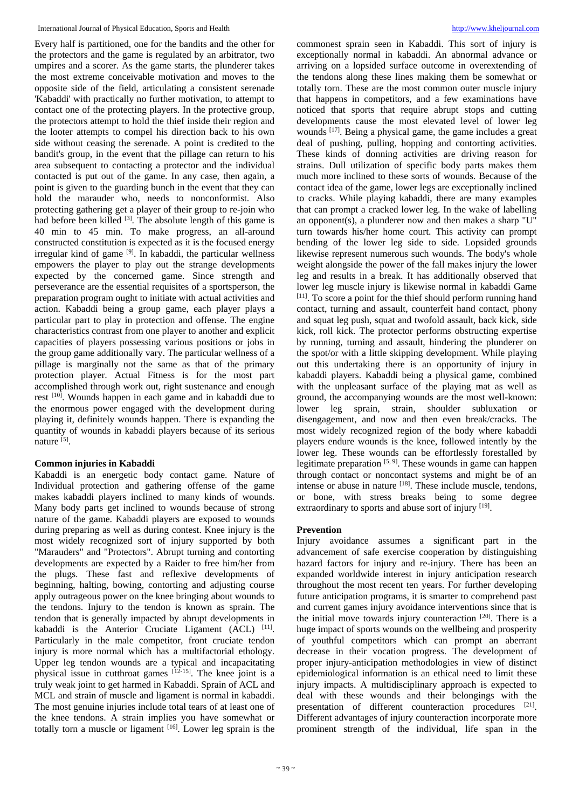Every half is partitioned, one for the bandits and the other for the protectors and the game is regulated by an arbitrator, two umpires and a scorer. As the game starts, the plunderer takes the most extreme conceivable motivation and moves to the opposite side of the field, articulating a consistent serenade 'Kabaddi' with practically no further motivation, to attempt to contact one of the protecting players. In the protective group, the protectors attempt to hold the thief inside their region and the looter attempts to compel his direction back to his own side without ceasing the serenade. A point is credited to the bandit's group, in the event that the pillage can return to his area subsequent to contacting a protector and the individual contacted is put out of the game. In any case, then again, a point is given to the guarding bunch in the event that they can hold the marauder who, needs to nonconformist. Also protecting gathering get a player of their group to re-join who had before been killed  $[3]$ . The absolute length of this game is 40 min to 45 min. To make progress, an all-around constructed constitution is expected as it is the focused energy irregular kind of game [9]. In kabaddi, the particular wellness empowers the player to play out the strange developments expected by the concerned game. Since strength and perseverance are the essential requisites of a sportsperson, the preparation program ought to initiate with actual activities and action. Kabaddi being a group game, each player plays a particular part to play in protection and offense. The engine characteristics contrast from one player to another and explicit capacities of players possessing various positions or jobs in the group game additionally vary. The particular wellness of a pillage is marginally not the same as that of the primary protection player. Actual Fitness is for the most part accomplished through work out, right sustenance and enough rest [10]. Wounds happen in each game and in kabaddi due to the enormous power engaged with the development during playing it, definitely wounds happen. There is expanding the quantity of wounds in kabaddi players because of its serious nature [5].

## **Common injuries in Kabaddi**

Kabaddi is an energetic body contact game. Nature of Individual protection and gathering offense of the game makes kabaddi players inclined to many kinds of wounds. Many body parts get inclined to wounds because of strong nature of the game. Kabaddi players are exposed to wounds during preparing as well as during contest. Knee injury is the most widely recognized sort of injury supported by both "Marauders" and "Protectors". Abrupt turning and contorting developments are expected by a Raider to free him/her from the plugs. These fast and reflexive developments of beginning, halting, bowing, contorting and adjusting course apply outrageous power on the knee bringing about wounds to the tendons. Injury to the tendon is known as sprain. The tendon that is generally impacted by abrupt developments in kabaddi is the Anterior Cruciate Ligament (ACL) [11]. Particularly in the male competitor, front cruciate tendon injury is more normal which has a multifactorial ethology. Upper leg tendon wounds are a typical and incapacitating physical issue in cutthroat games [12-15]. The knee joint is a truly weak joint to get harmed in Kabaddi. Sprain of ACL and MCL and strain of muscle and ligament is normal in kabaddi. The most genuine injuries include total tears of at least one of the knee tendons. A strain implies you have somewhat or totally torn a muscle or ligament [16]. Lower leg sprain is the commonest sprain seen in Kabaddi. This sort of injury is exceptionally normal in kabaddi. An abnormal advance or arriving on a lopsided surface outcome in overextending of the tendons along these lines making them be somewhat or totally torn. These are the most common outer muscle injury that happens in competitors, and a few examinations have noticed that sports that require abrupt stops and cutting developments cause the most elevated level of lower leg wounds <sup>[17]</sup>. Being a physical game, the game includes a great deal of pushing, pulling, hopping and contorting activities. These kinds of donning activities are driving reason for strains. Dull utilization of specific body parts makes them much more inclined to these sorts of wounds. Because of the contact idea of the game, lower legs are exceptionally inclined to cracks. While playing kabaddi, there are many examples that can prompt a cracked lower leg. In the wake of labelling an opponent(s), a plunderer now and then makes a sharp "U" turn towards his/her home court. This activity can prompt bending of the lower leg side to side. Lopsided grounds likewise represent numerous such wounds. The body's whole weight alongside the power of the fall makes injury the lower leg and results in a break. It has additionally observed that lower leg muscle injury is likewise normal in kabaddi Game [11]. To score a point for the thief should perform running hand contact, turning and assault, counterfeit hand contact, phony and squat leg push, squat and twofold assault, back kick, side kick, roll kick. The protector performs obstructing expertise by running, turning and assault, hindering the plunderer on the spot/or with a little skipping development. While playing out this undertaking there is an opportunity of injury in kabaddi players. Kabaddi being a physical game, combined with the unpleasant surface of the playing mat as well as ground, the accompanying wounds are the most well-known: lower leg sprain, strain, shoulder subluxation or disengagement, and now and then even break/cracks. The most widely recognized region of the body where kabaddi players endure wounds is the knee, followed intently by the lower leg. These wounds can be effortlessly forestalled by legitimate preparation  $[5, 9]$ . These wounds in game can happen through contact or noncontact systems and might be of an intense or abuse in nature [18]. These include muscle, tendons, or bone, with stress breaks being to some degree extraordinary to sports and abuse sort of injury [19].

## **Prevention**

Injury avoidance assumes a significant part in the advancement of safe exercise cooperation by distinguishing hazard factors for injury and re-injury. There has been an expanded worldwide interest in injury anticipation research throughout the most recent ten years. For further developing future anticipation programs, it is smarter to comprehend past and current games injury avoidance interventions since that is the initial move towards injury counteraction  $[20]$ . There is a huge impact of sports wounds on the wellbeing and prosperity of youthful competitors which can prompt an aberrant decrease in their vocation progress. The development of proper injury-anticipation methodologies in view of distinct epidemiological information is an ethical need to limit these injury impacts. A multidisciplinary approach is expected to deal with these wounds and their belongings with the presentation of different counteraction procedures [21]. Different advantages of injury counteraction incorporate more prominent strength of the individual, life span in the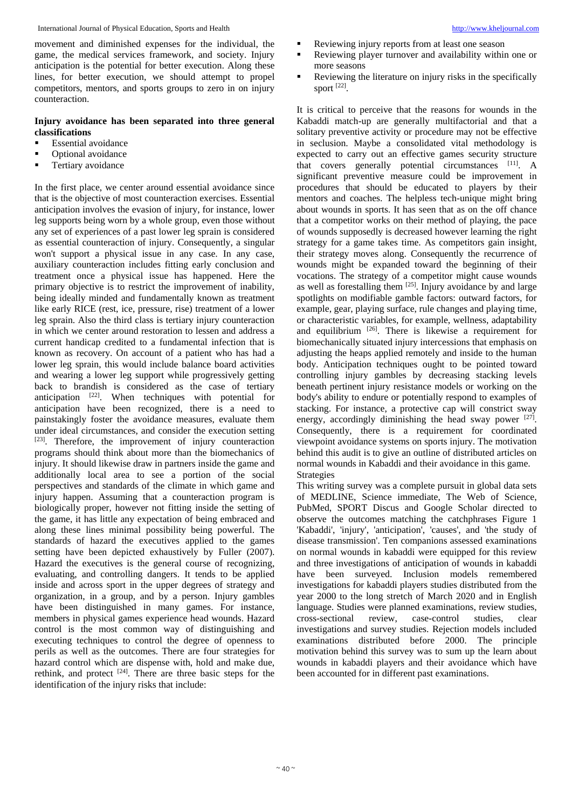International Journal of Physical Education, Sports and Health [http://www.kheljournal.com](http://www.kheljournal.com/)

movement and diminished expenses for the individual, the game, the medical services framework, and society. Injury anticipation is the potential for better execution. Along these lines, for better execution, we should attempt to propel competitors, mentors, and sports groups to zero in on injury counteraction.

# **Injury avoidance has been separated into three general classifications**

- Essential avoidance
- Optional avoidance
- Tertiary avoidance

In the first place, we center around essential avoidance since that is the objective of most counteraction exercises. Essential anticipation involves the evasion of injury, for instance, lower leg supports being worn by a whole group, even those without any set of experiences of a past lower leg sprain is considered as essential counteraction of injury. Consequently, a singular won't support a physical issue in any case. In any case, auxiliary counteraction includes fitting early conclusion and treatment once a physical issue has happened. Here the primary objective is to restrict the improvement of inability, being ideally minded and fundamentally known as treatment like early RICE (rest, ice, pressure, rise) treatment of a lower leg sprain. Also the third class is tertiary injury counteraction in which we center around restoration to lessen and address a current handicap credited to a fundamental infection that is known as recovery. On account of a patient who has had a lower leg sprain, this would include balance board activities and wearing a lower leg support while progressively getting back to brandish is considered as the case of tertiary anticipation [22]. When techniques with potential for anticipation have been recognized, there is a need to painstakingly foster the avoidance measures, evaluate them under ideal circumstances, and consider the execution setting [23]. Therefore, the improvement of injury counteraction programs should think about more than the biomechanics of injury. It should likewise draw in partners inside the game and additionally local area to see a portion of the social perspectives and standards of the climate in which game and injury happen. Assuming that a counteraction program is biologically proper, however not fitting inside the setting of the game, it has little any expectation of being embraced and along these lines minimal possibility being powerful. The standards of hazard the executives applied to the games setting have been depicted exhaustively by Fuller (2007). Hazard the executives is the general course of recognizing, evaluating, and controlling dangers. It tends to be applied inside and across sport in the upper degrees of strategy and organization, in a group, and by a person. Injury gambles have been distinguished in many games. For instance, members in physical games experience head wounds. Hazard control is the most common way of distinguishing and executing techniques to control the degree of openness to perils as well as the outcomes. There are four strategies for hazard control which are dispense with, hold and make due, rethink, and protect  $[24]$ . There are three basic steps for the identification of the injury risks that include:

- Reviewing injury reports from at least one season
- Reviewing player turnover and availability within one or more seasons
- Reviewing the literature on injury risks in the specifically sport [22].

It is critical to perceive that the reasons for wounds in the Kabaddi match-up are generally multifactorial and that a solitary preventive activity or procedure may not be effective in seclusion. Maybe a consolidated vital methodology is expected to carry out an effective games security structure that covers generally potential circumstances [11]. A significant preventive measure could be improvement in procedures that should be educated to players by their mentors and coaches. The helpless tech-unique might bring about wounds in sports. It has seen that as on the off chance that a competitor works on their method of playing, the pace of wounds supposedly is decreased however learning the right strategy for a game takes time. As competitors gain insight, their strategy moves along. Consequently the recurrence of wounds might be expanded toward the beginning of their vocations. The strategy of a competitor might cause wounds as well as forestalling them [25]. Injury avoidance by and large spotlights on modifiable gamble factors: outward factors, for example, gear, playing surface, rule changes and playing time, or characteristic variables, for example, wellness, adaptability and equilibrium <sup>[26]</sup>. There is likewise a requirement for biomechanically situated injury intercessions that emphasis on adjusting the heaps applied remotely and inside to the human body. Anticipation techniques ought to be pointed toward controlling injury gambles by decreasing stacking levels beneath pertinent injury resistance models or working on the body's ability to endure or potentially respond to examples of stacking. For instance, a protective cap will constrict sway energy, accordingly diminishing the head sway power [27]. Consequently, there is a requirement for coordinated viewpoint avoidance systems on sports injury. The motivation behind this audit is to give an outline of distributed articles on normal wounds in Kabaddi and their avoidance in this game. Strategies

This writing survey was a complete pursuit in global data sets of MEDLINE, Science immediate, The Web of Science, PubMed, SPORT Discus and Google Scholar directed to observe the outcomes matching the catchphrases Figure 1 'Kabaddi', 'injury', 'anticipation', 'causes', and 'the study of disease transmission'. Ten companions assessed examinations on normal wounds in kabaddi were equipped for this review and three investigations of anticipation of wounds in kabaddi have been surveyed. Inclusion models remembered investigations for kabaddi players studies distributed from the year 2000 to the long stretch of March 2020 and in English language. Studies were planned examinations, review studies, cross-sectional review, case-control studies, clear investigations and survey studies. Rejection models included examinations distributed before 2000. The principle motivation behind this survey was to sum up the learn about wounds in kabaddi players and their avoidance which have been accounted for in different past examinations.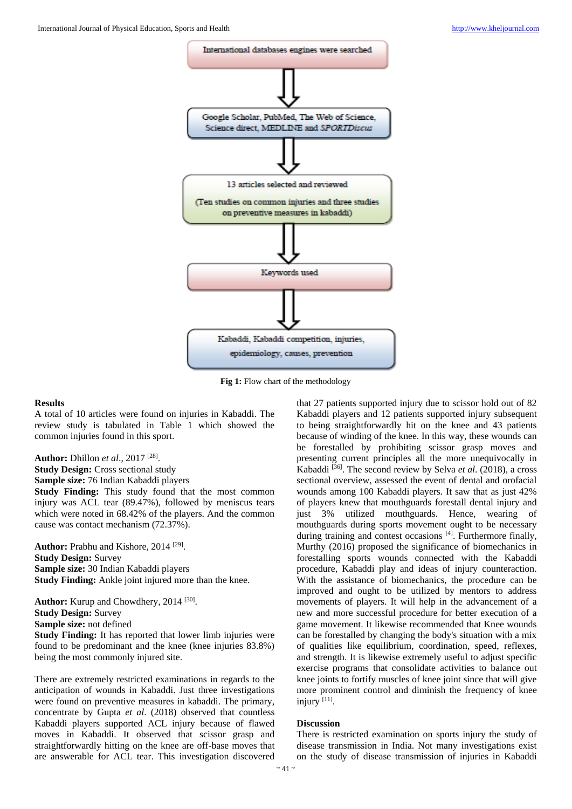

**Fig 1:** Flow chart of the methodology

### **Results**

A total of 10 articles were found on injuries in Kabaddi. The review study is tabulated in Table 1 which showed the common injuries found in this sport.

**Author:** Dhillon *et al*., 2017 [28] . **Study Design:** Cross sectional study **Sample size:** 76 Indian Kabaddi players **Study Finding:** This study found that the most common injury was ACL tear (89.47%), followed by meniscus tears which were noted in 68.42% of the players. And the common cause was contact mechanism (72.37%).

Author: Prabhu and Kishore, 2014<sup>[29]</sup>. **Study Design:** Survey **Sample size:** 30 Indian Kabaddi players **Study Finding:** Ankle joint injured more than the knee.

Author: Kurup and Chowdhery, 2014<sup>[30]</sup>. **Study Design:** Survey **Sample size:** not defined

**Study Finding:** It has reported that lower limb injuries were found to be predominant and the knee (knee injuries 83.8%) being the most commonly injured site.

There are extremely restricted examinations in regards to the anticipation of wounds in Kabaddi. Just three investigations were found on preventive measures in kabaddi. The primary, concentrate by Gupta *et al*. (2018) observed that countless Kabaddi players supported ACL injury because of flawed moves in Kabaddi. It observed that scissor grasp and straightforwardly hitting on the knee are off-base moves that are answerable for ACL tear. This investigation discovered

that 27 patients supported injury due to scissor hold out of 82 Kabaddi players and 12 patients supported injury subsequent to being straightforwardly hit on the knee and 43 patients because of winding of the knee. In this way, these wounds can be forestalled by prohibiting scissor grasp moves and presenting current principles all the more unequivocally in Kabaddi <sup>[36]</sup>. The second review by Selva et al. (2018), a cross sectional overview, assessed the event of dental and orofacial wounds among 100 Kabaddi players. It saw that as just 42% of players knew that mouthguards forestall dental injury and just 3% utilized mouthguards. Hence, wearing of mouthguards during sports movement ought to be necessary during training and contest occasions [4]. Furthermore finally, Murthy (2016) proposed the significance of biomechanics in forestalling sports wounds connected with the Kabaddi procedure, Kabaddi play and ideas of injury counteraction. With the assistance of biomechanics, the procedure can be improved and ought to be utilized by mentors to address movements of players. It will help in the advancement of a new and more successful procedure for better execution of a game movement. It likewise recommended that Knee wounds can be forestalled by changing the body's situation with a mix of qualities like equilibrium, coordination, speed, reflexes, and strength. It is likewise extremely useful to adjust specific exercise programs that consolidate activities to balance out knee joints to fortify muscles of knee joint since that will give more prominent control and diminish the frequency of knee injury [11].

### **Discussion**

There is restricted examination on sports injury the study of disease transmission in India. Not many investigations exist on the study of disease transmission of injuries in Kabaddi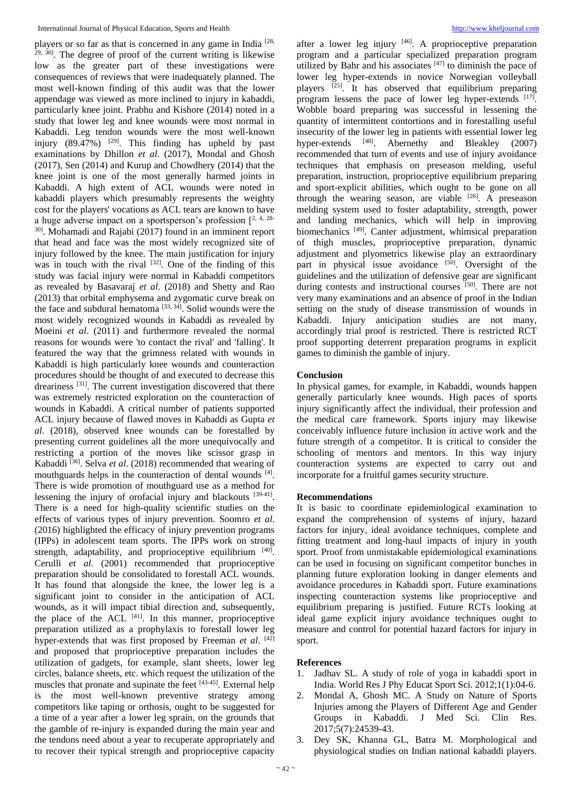players or so far as that is concerned in any game in India<sup>[28,</sup>  $29, 30$ ]. The degree of proof of the current writing is likewise low as the greater part of these investigations were consequences of reviews that were inadequately planned. The most well-known finding of this audit was that the lower appendage was viewed as more inclined to injury in kabaddi, particularly knee joint. Prabhu and Kishore (2014) noted in a study that lower leg and knee wounds were most normal in Kabaddi. Leg tendon wounds were the most well-known injury  $(89.47\%)$  <sup>[29]</sup>. This finding has upheld by past examinations by Dhillon *et al*. (2017), Mondal and Ghosh (2017), Sen (2014) and Kurup and Chowdhery (2014) that the knee joint is one of the most generally harmed joints in Kabaddi. A high extent of ACL wounds were noted in kabaddi players which presumably represents the weighty cost for the players' vocations as ACL tears are known to have a huge adverse impact on a sportsperson's profession  $[2, 4, 28]$ 30]. Mohamadi and Rajabi (2017) found in an imminent report that head and face was the most widely recognized site of injury followed by the knee. The main justification for injury was in touch with the rival  $[32]$ . One of the finding of this study was facial injury were normal in Kabaddi competitors as revealed by Basavaraj *et al*. (2018) and Shetty and Rao (2013) that orbital emphysema and zygomatic curve break on the face and subdural hematoma  $[33, 34]$ . Solid wounds were the most widely recognized wounds in Kabaddi as revealed by Moeini *et al*. (2011) and furthermore revealed the normal reasons for wounds were 'to contact the rival' and 'falling'. It featured the way that the grimness related with wounds in Kabaddi is high particularly knee wounds and counteraction procedures should be thought of and executed to decrease this dreariness [31]. The current investigation discovered that there was extremely restricted exploration on the counteraction of wounds in Kabaddi. A critical number of patients supported ACL injury because of flawed moves in Kabaddi as Gupta *et al*. (2018), observed knee wounds can be forestalled by presenting current guidelines all the more unequivocally and restricting a portion of the moves like scissor grasp in Kabaddi [36]. Selva *et al*. (2018) recommended that wearing of mouthguards helps in the counteraction of dental wounds [4]. There is wide promotion of mouthguard use as a method for lessening the injury of orofacial injury and blackouts [39-41]. There is a need for high-quality scientific studies on the effects of various types of injury prevention. Soomro *et al*. (2016) highlighted the efficacy of injury prevention programs (IPPs) in adolescent team sports. The IPPs work on strong strength, adaptability, and proprioceptive equilibrium  $[40]$ . Cerulli *et al*. (2001) recommended that proprioceptive preparation should be consolidated to forestall ACL wounds. It has found that alongside the knee, the lower leg is a significant joint to consider in the anticipation of ACL wounds, as it will impact tibial direction and, subsequently, the place of the  $ACL$ <sup>[41]</sup>. In this manner, proprioceptive preparation utilized as a prophylaxis to forestall lower leg hyper-extends that was first proposed by Freeman et al. [42] and proposed that proprioceptive preparation includes the utilization of gadgets, for example, slant sheets, lower leg circles, balance sheets, etc. which request the utilization of the muscles that pronate and supinate the feet [43-45]. External help is the most well-known preventive strategy among competitors like taping or orthosis, ought to be suggested for a time of a year after a lower leg sprain, on the grounds that the gamble of re-injury is expanded during the main year and the tendons need about a year to recuperate appropriately and to recover their typical strength and proprioceptive capacity

after a lower leg injury  $[46]$ . A proprioceptive preparation program and a particular specialized preparation program utilized by Bahr and his associates  $[47]$  to diminish the pace of lower leg hyper-extends in novice Norwegian volleyball players [25]. It has observed that equilibrium preparing program lessens the pace of lower leg hyper-extends [17]. Wobble board preparing was successful in lessening the quantity of intermittent contortions and in forestalling useful insecurity of the lower leg in patients with essential lower leg hyper-extends <sup>[48]</sup>. Abernethy and Bleakley (2007) recommended that turn of events and use of injury avoidance techniques that emphasis on preseason melding, useful preparation, instruction, proprioceptive equilibrium preparing and sport-explicit abilities, which ought to be gone on all through the wearing season, are viable  $[26]$ . A preseason melding system used to foster adaptability, strength, power and landing mechanics, which will help in improving biomechanics<sup>[49]</sup>. Canter adjustment, whimsical preparation of thigh muscles, proprioceptive preparation, dynamic adjustment and plyometrics likewise play an extraordinary part in physical issue avoidance [50]. Oversight of the guidelines and the utilization of defensive gear are significant during contests and instructional courses [50]. There are not very many examinations and an absence of proof in the Indian setting on the study of disease transmission of wounds in Kabaddi. Injury anticipation studies are not many, accordingly trial proof is restricted. There is restricted RCT proof supporting deterrent preparation programs in explicit games to diminish the gamble of injury.

## **Conclusion**

In physical games, for example, in Kabaddi, wounds happen generally particularly knee wounds. High paces of sports injury significantly affect the individual, their profession and the medical care framework. Sports injury may likewise conceivably influence future inclusion in active work and the future strength of a competitor. It is critical to consider the schooling of mentors and mentors. In this way injury counteraction systems are expected to carry out and incorporate for a fruitful games security structure.

## **Recommendations**

It is basic to coordinate epidemiological examination to expand the comprehension of systems of injury, hazard factors for injury, ideal avoidance techniques, complete and fitting treatment and long-haul impacts of injury in youth sport. Proof from unmistakable epidemiological examinations can be used in focusing on significant competitor bunches in planning future exploration looking in danger elements and avoidance procedures in Kabaddi sport. Future examinations inspecting counteraction systems like proprioceptive and equilibrium preparing is justified. Future RCTs looking at ideal game explicit injury avoidance techniques ought to measure and control for potential hazard factors for injury in sport.

### **References**

- 1. Jadhav SL. A study of role of yoga in kabaddi sport in India. World Res J Phy Educat Sport Sci. 2012;1(1):04-6.
- 2. Mondal A, Ghosh MC. A Study on Nature of Sports Injuries among the Players of Different Age and Gender Groups in Kabaddi. J Med Sci. Clin Res. 2017;5(7):24539-43.
- 3. Dey SK, Khanna GL, Batra M. Morphological and physiological studies on Indian national kabaddi players.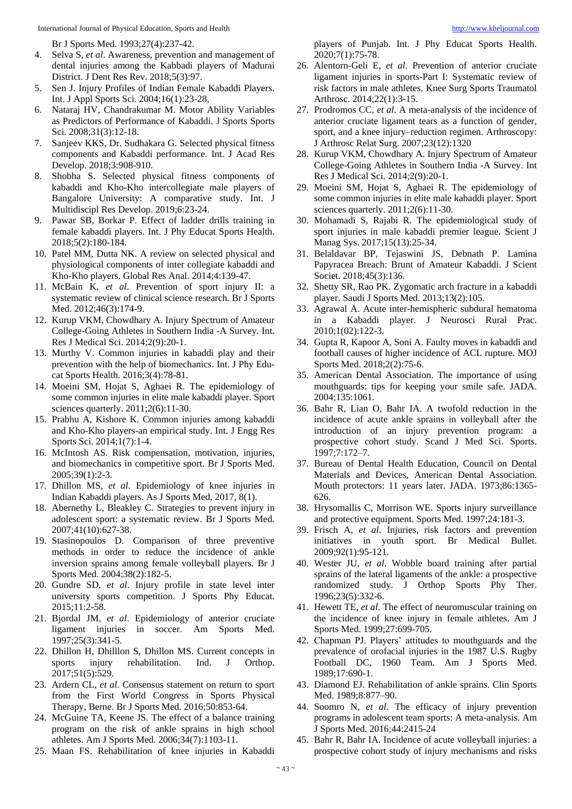Br J Sports Med. 1993;27(4):237-42.

- 4. Selva S, *et al*. Awareness, prevention and management of dental injuries among the Kabbadi players of Madurai District. J Dent Res Rev. 2018;5(3):97.
- 5. Sen J. Injury Profiles of Indian Female Kabaddi Players. Int. J Appl Sports Sci. 2004;16(1):23-28,
- 6. Nataraj HV, Chandrakumar M. Motor Ability Variables as Predictors of Performance of Kabaddi. J Sports Sports Sci. 2008;31(3):12-18.
- 7. Sanjeev KKS, Dr. Sudhakara G. Selected physical fitness components and Kabaddi performance. Int. J Acad Res Develop. 2018;3:908-910.
- 8. Shobha S. Selected physical fitness components of kabaddi and Kho-Kho intercollegiate male players of Bangalore University: A comparative study. Int. J Multidiscipl Res Develop. 2019;6:23-24.
- 9. Pawar SB, Borkar P. Effect of ladder drills training in female kabaddi players. Int. J Phy Educat Sports Health. 2018;5(2):180-184.
- 10. Patel MM, Dutta NK. A review on selected physical and physiological components of inter collegiate kabaddi and Kho-Kho players. Global Res Anal. 2014;4:139-47.
- 11. McBain K, *et al*. Prevention of sport injury II: a systematic review of clinical science research. Br J Sports Med. 2012;46(3):174-9.
- 12. Kurup VKM, Chowdhary A. Injury Spectrum of Amateur College-Going Athletes in Southern India -A Survey. Int. Res J Medical Sci. 2014;2(9):20-1.
- 13. Murthy V. Common injuries in kabaddi play and their prevention with the help of biomechanics. Int. J Phy Educat Sports Health. 2016;3(4):78-81.
- 14. Moeini SM, Hojat S, Aghaei R. The epidemiology of some common injuries in elite male kabaddi player. Sport sciences quarterly. 2011;2(6):11-30.
- 15. Prabhu A, Kishore K. Common injuries among kabaddi and Kho-Kho players-an empirical study. Int. J Engg Res Sports Sci. 2014;1(7):1-4.
- 16. McIntosh AS. Risk compensation, motivation, injuries, and biomechanics in competitive sport. Br J Sports Med. 2005;39(1):2-3.
- 17. Dhillon MS, *et al*. Epidemiology of knee injuries in Indian Kabaddi players. As J Sports Med, 2017, 8(1).
- 18. Abernethy L, Bleakley C. Strategies to prevent injury in adolescent sport: a systematic review. Br J Sports Med. 2007;41(10):627-38.
- 19. Stasinopoulos D. Comparison of three preventive methods in order to reduce the incidence of ankle inversion sprains among female volleyball players. Br J Sports Med. 2004;38(2):182-5.
- 20. Gundre SD, *et al*. Injury profile in state level inter university sports competition. J Sports Phy Educat. 2015;11:2-58.
- 21. Bjordal JM, *et al*. Epidemiology of anterior cruciate ligament injuries in soccer. Am Sports Med. 1997;25(3):341-5.
- 22. Dhillon H, Dhilllon S, Dhillon MS. Current concepts in sports injury rehabilitation. Ind. J Orthop. 2017;51(5):529.
- 23. Ardern CL, *et al*. Consensus statement on return to sport from the First World Congress in Sports Physical Therapy, Berne. Br J Sports Med. 2016;50:853-64.
- 24. McGuine TA, Keene JS. The effect of a balance training program on the risk of ankle sprains in high school athletes. Am J Sports Med. 2006;34(7):1103-11.
- 25. Maan FS. Rehabilitation of knee injuries in Kabaddi

players of Punjab. Int. J Phy Educat Sports Health. 2020;7(1):75-78.

- 26. Alentorn-Geli E, *et al*. Prevention of anterior cruciate ligament injuries in sports-Part I: Systematic review of risk factors in male athletes. Knee Surg Sports Traumatol Arthrosc. 2014;22(1):3-15.
- 27. Prodromos CC, *et al*. A meta-analysis of the incidence of anterior cruciate ligament tears as a function of gender, sport, and a knee injury–reduction regimen. Arthroscopy: J Arthrosc Relat Surg. 2007;23(12):1320
- 28. Kurup VKM, Chowdhary A. Injury Spectrum of Amateur College-Going Athletes in Southern India -A Survey. Int Res J Medical Sci. 2014;2(9):20-1.
- 29. Moeini SM, Hojat S, Aghaei R. The epidemiology of some common injuries in elite male kabaddi player. Sport sciences quarterly. 2011;2(6):11-30.
- 30. Mohamadi S, Rajabi R. The epidemiological study of sport injuries in male kabaddi premier league. Scient J Manag Sys. 2017;15(13):25-34.
- 31. Belaldavar BP, Tejaswini JS, Debnath P. Lamina Papyracea Breach: Brunt of Amateur Kabaddi. J Scient Societ. 2018;45(3):136.
- 32. Shetty SR, Rao PK. Zygomatic arch fracture in a kabaddi player. Saudi J Sports Med. 2013;13(2):105.
- 33. Agrawal A. Acute inter-hemispheric subdural hematoma in a Kabaddi player. J Neurosci Rural Prac. 2010;1(02):122-3.
- 34. Gupta R, Kapoor A, Soni A. Faulty moves in kabaddi and football causes of higher incidence of ACL rupture. MOJ Sports Med. 2018;2(2):75-6.
- 35. American Dental Association. The importance of using mouthguards: tips for keeping your smile safe. JADA. 2004;135:1061.
- 36. Bahr R, Lian O, Bahr IA. A twofold reduction in the incidence of acute ankle sprains in volleyball after the introduction of an injury prevention program: a prospective cohort study. Scand J Med Sci. Sports. 1997;7:172–7.
- 37. Bureau of Dental Health Education, Council on Dental Materials and Devices, American Dental Association. Mouth protectors: 11 years later. JADA. 1973;86:1365- 626.
- 38. Hrysomallis C, Morrison WE. Sports injury surveillance and protective equipment. Sports Med. 1997;24:181-3.
- 39. Frisch A, *et al*. Injuries, risk factors and prevention initiatives in youth sport. Br Medical Bullet. 2009;92(1):95-121.
- 40. Wester JU, *et al*. Wobble board training after partial sprains of the lateral ligaments of the ankle: a prospective randomized study. J Orthop Sports Phy Ther. 1996;23(5):332-6.
- 41. Hewett TE, *et al*. The effect of neuromuscular training on the incidence of knee injury in female athletes. Am J Sports Med. 1999;27:699-705.
- 42. Chapman PJ. Players' attitudes to mouthguards and the prevalence of orofacial injuries in the 1987 U.S. Rugby Football DC, 1960 Team. Am J Sports Med. 1989;17:690-1.
- 43. Diamond EJ. Rehabilitation of ankle sprains. Clin Sports Med. 1989;8:877–90.
- 44. Soomro N, *et al*. The efficacy of injury prevention programs in adolescent team sports: A meta-analysis. Am J Sports Med. 2016;44:2415-24
- 45. Bahr R, Bahr IA. Incidence of acute volleyball injuries: a prospective cohort study of injury mechanisms and risks